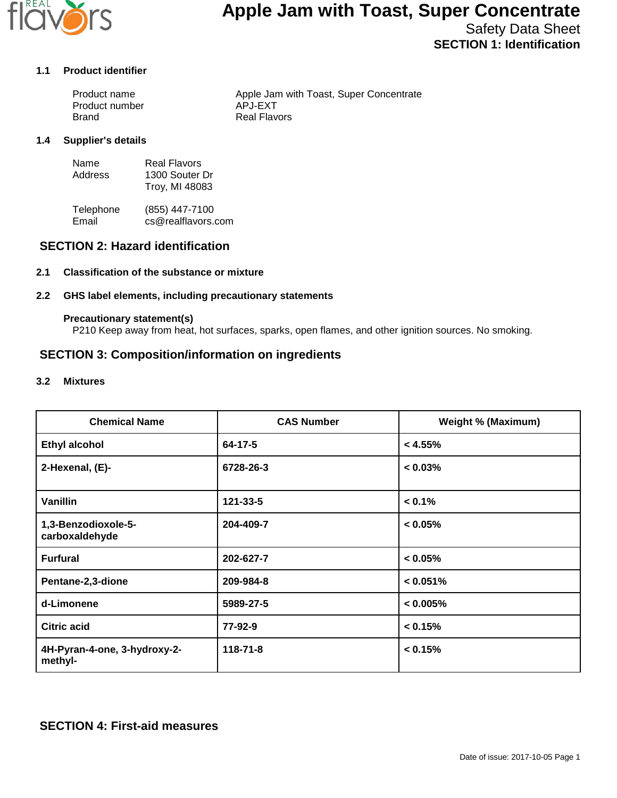

# **Apple Jam with Toast, Super Concentrate**

Safety Data Sheet **SECTION 1: Identification**

#### **1.1 Product identifier**

| Product name   | Apple Jam with Toast, Super Concentrate |
|----------------|-----------------------------------------|
| Product number | APJ-EXT                                 |
| Brand          | Real Flavors                            |

#### **1.4 Supplier's details**

| Name    | Real Flavors   |
|---------|----------------|
| Address | 1300 Souter Dr |
|         | Troy, MI 48083 |

Telephone (855) 447-7100<br>Email cs@realflavors. cs@realflavors.com

### **SECTION 2: Hazard identification**

#### **2.1 Classification of the substance or mixture**

#### **2.2 GHS label elements, including precautionary statements**

#### **Precautionary statement(s)**

P210 Keep away from heat, hot surfaces, sparks, open flames, and other ignition sources. No smoking.

## **SECTION 3: Composition/information on ingredients**

#### **3.2 Mixtures**

| <b>Chemical Name</b>                    | <b>CAS Number</b> | <b>Weight % (Maximum)</b> |
|-----------------------------------------|-------------------|---------------------------|
| <b>Ethyl alcohol</b>                    | 64-17-5           | < 4.55%                   |
| 2-Hexenal, (E)-                         | 6728-26-3         | $< 0.03\%$                |
| <b>Vanillin</b>                         | 121-33-5          | $< 0.1\%$                 |
| 1,3-Benzodioxole-5-<br>carboxaldehyde   | 204-409-7         | $< 0.05\%$                |
| <b>Furfural</b>                         | 202-627-7         | $< 0.05\%$                |
| Pentane-2,3-dione                       | 209-984-8         | < 0.051%                  |
| d-Limonene                              | 5989-27-5         | < 0.005%                  |
| <b>Citric acid</b>                      | 77-92-9           | < 0.15%                   |
| 4H-Pyran-4-one, 3-hydroxy-2-<br>methyl- | $118 - 71 - 8$    | < 0.15%                   |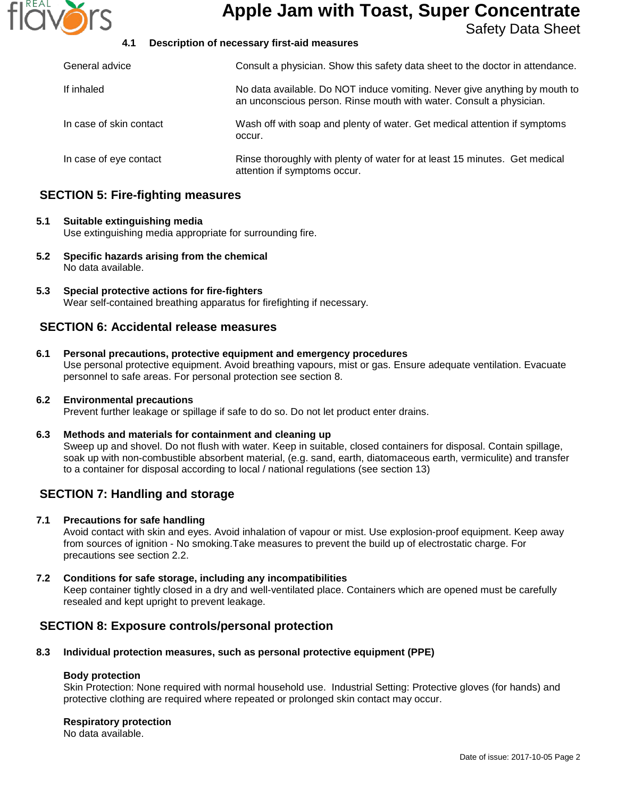

## **Apple Jam with Toast, Super Concentrate**

Safety Data Sheet

#### **4.1 Description of necessary first-aid measures**

| General advice          | Consult a physician. Show this safety data sheet to the doctor in attendance.                                                                     |
|-------------------------|---------------------------------------------------------------------------------------------------------------------------------------------------|
| If inhaled              | No data available. Do NOT induce vomiting. Never give anything by mouth to<br>an unconscious person. Rinse mouth with water. Consult a physician. |
| In case of skin contact | Wash off with soap and plenty of water. Get medical attention if symptoms<br>occur.                                                               |
| In case of eye contact  | Rinse thoroughly with plenty of water for at least 15 minutes. Get medical<br>attention if symptoms occur.                                        |

## **SECTION 5: Fire-fighting measures**

#### **5.1 Suitable extinguishing media**

Use extinguishing media appropriate for surrounding fire.

- **5.2 Specific hazards arising from the chemical** No data available.
- **5.3 Special protective actions for fire-fighters** Wear self-contained breathing apparatus for firefighting if necessary.

### **SECTION 6: Accidental release measures**

- **6.1 Personal precautions, protective equipment and emergency procedures** Use personal protective equipment. Avoid breathing vapours, mist or gas. Ensure adequate ventilation. Evacuate personnel to safe areas. For personal protection see section 8.
- **6.2 Environmental precautions** Prevent further leakage or spillage if safe to do so. Do not let product enter drains.
- **6.3 Methods and materials for containment and cleaning up** Sweep up and shovel. Do not flush with water. Keep in suitable, closed containers for disposal. Contain spillage, soak up with non-combustible absorbent material, (e.g. sand, earth, diatomaceous earth, vermiculite) and transfer to a container for disposal according to local / national regulations (see section 13)

## **SECTION 7: Handling and storage**

#### **7.1 Precautions for safe handling**

Avoid contact with skin and eyes. Avoid inhalation of vapour or mist. Use explosion-proof equipment. Keep away from sources of ignition - No smoking.Take measures to prevent the build up of electrostatic charge. For precautions see section 2.2.

**7.2 Conditions for safe storage, including any incompatibilities** Keep container tightly closed in a dry and well-ventilated place. Containers which are opened must be carefully resealed and kept upright to prevent leakage.

## **SECTION 8: Exposure controls/personal protection**

#### **8.3 Individual protection measures, such as personal protective equipment (PPE)**

#### **Body protection**

Skin Protection: None required with normal household use. Industrial Setting: Protective gloves (for hands) and protective clothing are required where repeated or prolonged skin contact may occur.

#### **Respiratory protection**

No data available.